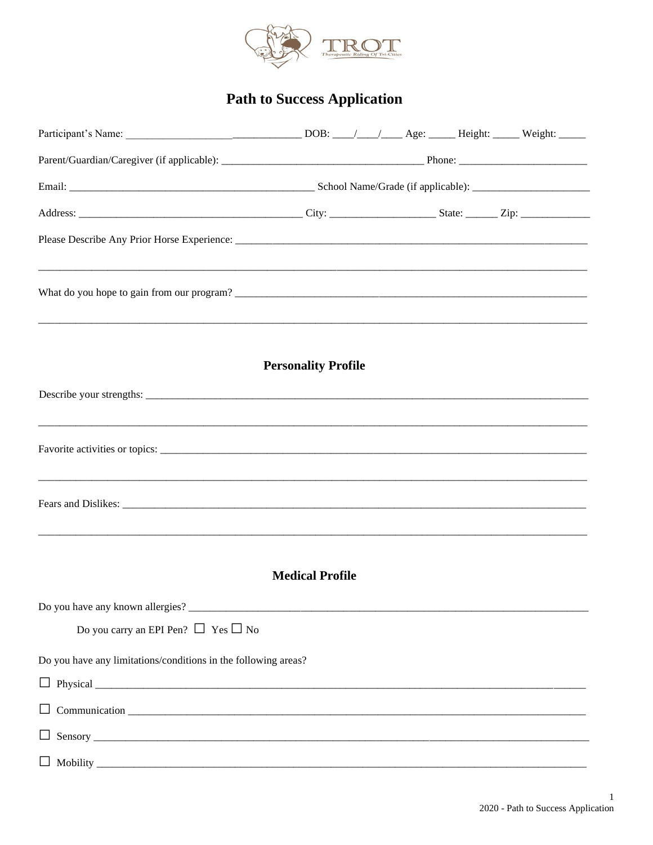

# **Path to Success Application**

|                                                                | <b>Personality Profile</b> |  |  |  |
|----------------------------------------------------------------|----------------------------|--|--|--|
|                                                                |                            |  |  |  |
|                                                                |                            |  |  |  |
|                                                                |                            |  |  |  |
|                                                                | <b>Medical Profile</b>     |  |  |  |
| Do you have any known allergies?                               |                            |  |  |  |
| Do you carry an EPI Pen? $\Box$ Yes $\Box$ No                  |                            |  |  |  |
| Do you have any limitations/conditions in the following areas? |                            |  |  |  |
|                                                                |                            |  |  |  |
|                                                                |                            |  |  |  |
|                                                                |                            |  |  |  |
|                                                                |                            |  |  |  |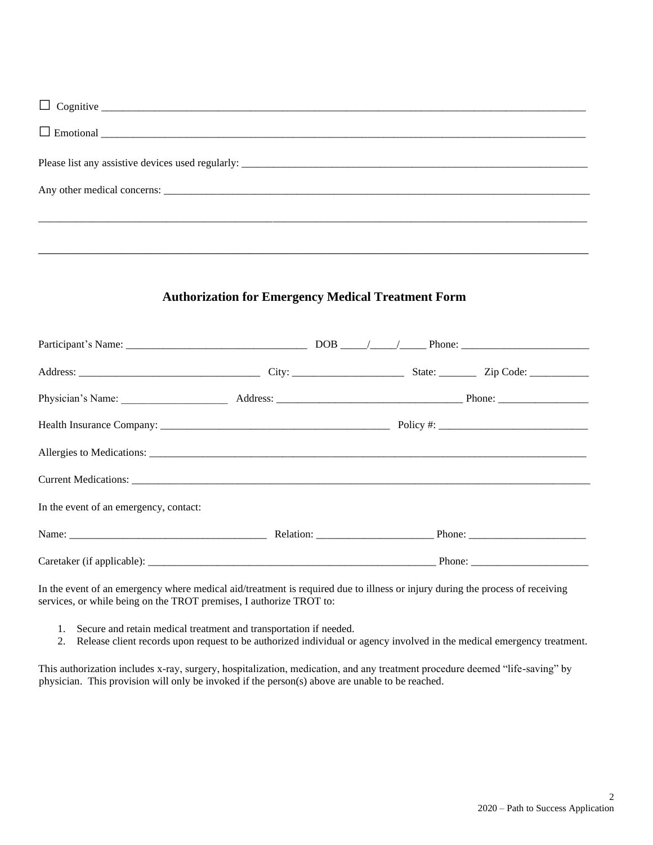| $\Box$ Emotional $\Box$ |
|-------------------------|
|                         |
|                         |
|                         |
|                         |
|                         |

#### **Authorization for Emergency Medical Treatment Form**

| In the event of an emergency, contact:                                                                                                                                                                                         |  |  |  |
|--------------------------------------------------------------------------------------------------------------------------------------------------------------------------------------------------------------------------------|--|--|--|
| Name: Phone: Phone: Phone: Phone: Phone: Phone: Phone: Phone: Phone: Phone: Phone: Phone: Phone: Phone: Phone: Phone: Phone: Phone: Phone: Phone: Phone: Phone: Phone: Phone: Phone: Phone: Phone: Phone: Phone: Phone: Phone: |  |  |  |
|                                                                                                                                                                                                                                |  |  |  |

In the event of an emergency where medical aid/treatment is required due to illness or injury during the process of receiving services, or while being on the TROT premises, I authorize TROT to:

- 1. Secure and retain medical treatment and transportation if needed.
- 2. Release client records upon request to be authorized individual or agency involved in the medical emergency treatment.

This authorization includes x-ray, surgery, hospitalization, medication, and any treatment procedure deemed "life-saving" by physician. This provision will only be invoked if the person(s) above are unable to be reached.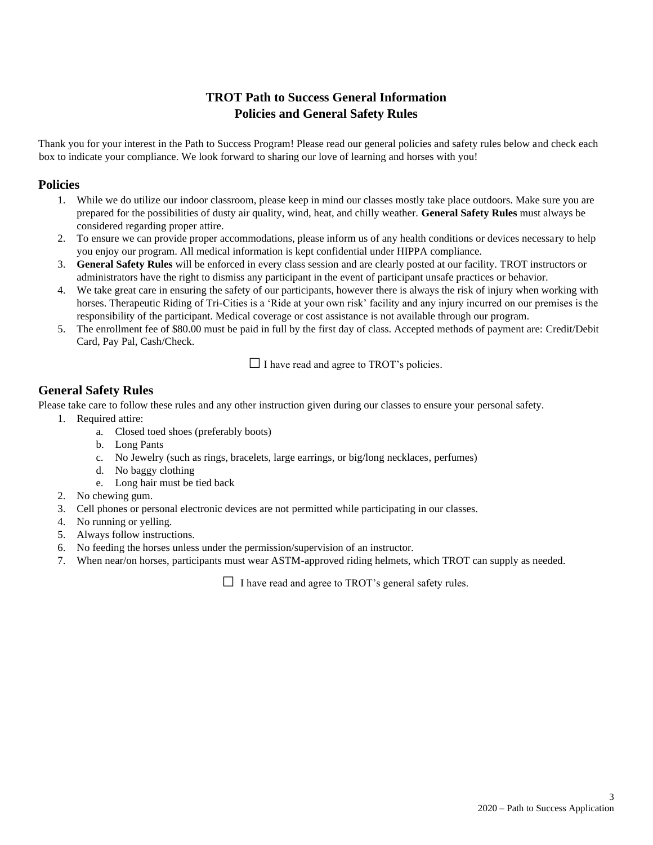## **TROT Path to Success General Information Policies and General Safety Rules**

Thank you for your interest in the Path to Success Program! Please read our general policies and safety rules below and check each box to indicate your compliance. We look forward to sharing our love of learning and horses with you!

#### **Policies**

- 1. While we do utilize our indoor classroom, please keep in mind our classes mostly take place outdoors. Make sure you are prepared for the possibilities of dusty air quality, wind, heat, and chilly weather. **General Safety Rules** must always be considered regarding proper attire.
- 2. To ensure we can provide proper accommodations, please inform us of any health conditions or devices necessary to help you enjoy our program. All medical information is kept confidential under HIPPA compliance.
- 3. **General Safety Rules** will be enforced in every class session and are clearly posted at our facility. TROT instructors or administrators have the right to dismiss any participant in the event of participant unsafe practices or behavior.
- 4. We take great care in ensuring the safety of our participants, however there is always the risk of injury when working with horses. Therapeutic Riding of Tri-Cities is a 'Ride at your own risk' facility and any injury incurred on our premises is the responsibility of the participant. Medical coverage or cost assistance is not available through our program.
- 5. The enrollment fee of \$80.00 must be paid in full by the first day of class. Accepted methods of payment are: Credit/Debit Card, Pay Pal, Cash/Check.

 $\Box$  I have read and agree to TROT's policies.

### **General Safety Rules**

Please take care to follow these rules and any other instruction given during our classes to ensure your personal safety.

- 1. Required attire:
	- a. Closed toed shoes (preferably boots)
	- b. Long Pants
	- c. No Jewelry (such as rings, bracelets, large earrings, or big/long necklaces, perfumes)
	- d. No baggy clothing
	- e. Long hair must be tied back
- 2. No chewing gum.
- 3. Cell phones or personal electronic devices are not permitted while participating in our classes.
- 4. No running or yelling.
- 5. Always follow instructions.
- 6. No feeding the horses unless under the permission/supervision of an instructor.
- 7. When near/on horses, participants must wear ASTM-approved riding helmets, which TROT can supply as needed.

 $\Box$  I have read and agree to TROT's general safety rules.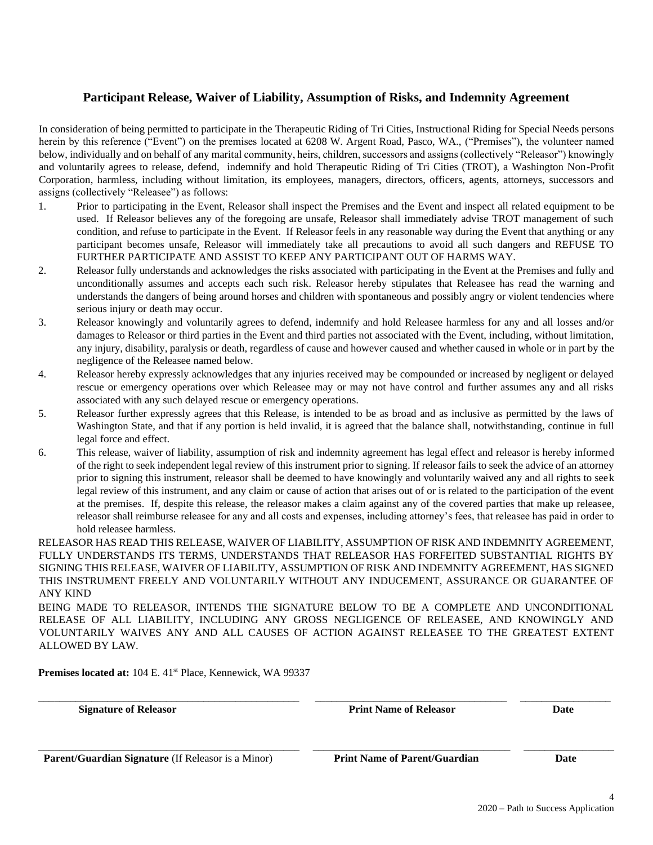#### **Participant Release, Waiver of Liability, Assumption of Risks, and Indemnity Agreement**

In consideration of being permitted to participate in the Therapeutic Riding of Tri Cities, Instructional Riding for Special Needs persons herein by this reference ("Event") on the premises located at 6208 W. Argent Road, Pasco, WA., ("Premises"), the volunteer named below, individually and on behalf of any marital community, heirs, children, successors and assigns (collectively "Releasor") knowingly and voluntarily agrees to release, defend, indemnify and hold Therapeutic Riding of Tri Cities (TROT), a Washington Non-Profit Corporation, harmless, including without limitation, its employees, managers, directors, officers, agents, attorneys, successors and assigns (collectively "Releasee") as follows:

- 1. Prior to participating in the Event, Releasor shall inspect the Premises and the Event and inspect all related equipment to be used. If Releasor believes any of the foregoing are unsafe, Releasor shall immediately advise TROT management of such condition, and refuse to participate in the Event. If Releasor feels in any reasonable way during the Event that anything or any participant becomes unsafe, Releasor will immediately take all precautions to avoid all such dangers and REFUSE TO FURTHER PARTICIPATE AND ASSIST TO KEEP ANY PARTICIPANT OUT OF HARMS WAY.
- 2. Releasor fully understands and acknowledges the risks associated with participating in the Event at the Premises and fully and unconditionally assumes and accepts each such risk. Releasor hereby stipulates that Releasee has read the warning and understands the dangers of being around horses and children with spontaneous and possibly angry or violent tendencies where serious injury or death may occur.
- 3. Releasor knowingly and voluntarily agrees to defend, indemnify and hold Releasee harmless for any and all losses and/or damages to Releasor or third parties in the Event and third parties not associated with the Event, including, without limitation, any injury, disability, paralysis or death, regardless of cause and however caused and whether caused in whole or in part by the negligence of the Releasee named below.
- 4. Releasor hereby expressly acknowledges that any injuries received may be compounded or increased by negligent or delayed rescue or emergency operations over which Releasee may or may not have control and further assumes any and all risks associated with any such delayed rescue or emergency operations.
- 5. Releasor further expressly agrees that this Release, is intended to be as broad and as inclusive as permitted by the laws of Washington State, and that if any portion is held invalid, it is agreed that the balance shall, notwithstanding, continue in full legal force and effect.
- 6. This release, waiver of liability, assumption of risk and indemnity agreement has legal effect and releasor is hereby informed of the right to seek independent legal review of this instrument prior to signing. If releasor fails to seek the advice of an attorney prior to signing this instrument, releasor shall be deemed to have knowingly and voluntarily waived any and all rights to seek legal review of this instrument, and any claim or cause of action that arises out of or is related to the participation of the event at the premises. If, despite this release, the releasor makes a claim against any of the covered parties that make up releasee, releasor shall reimburse releasee for any and all costs and expenses, including attorney's fees, that releasee has paid in order to hold releasee harmless.

RELEASOR HAS READ THIS RELEASE, WAIVER OF LIABILITY, ASSUMPTION OF RISK AND INDEMNITY AGREEMENT, FULLY UNDERSTANDS ITS TERMS, UNDERSTANDS THAT RELEASOR HAS FORFEITED SUBSTANTIAL RIGHTS BY SIGNING THIS RELEASE, WAIVER OF LIABILITY, ASSUMPTION OF RISK AND INDEMNITY AGREEMENT, HAS SIGNED THIS INSTRUMENT FREELY AND VOLUNTARILY WITHOUT ANY INDUCEMENT, ASSURANCE OR GUARANTEE OF ANY KIND

BEING MADE TO RELEASOR, INTENDS THE SIGNATURE BELOW TO BE A COMPLETE AND UNCONDITIONAL RELEASE OF ALL LIABILITY, INCLUDING ANY GROSS NEGLIGENCE OF RELEASEE, AND KNOWINGLY AND VOLUNTARILY WAIVES ANY AND ALL CAUSES OF ACTION AGAINST RELEASEE TO THE GREATEST EXTENT ALLOWED BY LAW.

\_\_\_\_\_\_\_\_\_\_\_\_\_\_\_\_\_\_\_\_\_\_\_\_\_\_\_\_\_\_\_\_\_\_\_\_\_\_\_\_\_\_\_\_\_\_\_\_\_ \_\_\_\_\_\_\_\_\_\_\_\_\_\_\_\_\_\_\_\_\_\_\_\_\_\_\_\_\_\_\_\_\_\_\_\_ \_\_\_\_\_\_\_\_\_\_\_\_\_\_\_\_\_

\_\_\_\_\_\_\_\_\_\_\_\_\_\_\_\_\_\_\_\_\_\_\_\_\_\_\_\_\_\_\_\_\_\_\_\_\_\_\_\_\_\_\_\_\_\_\_\_\_ \_\_\_\_\_\_\_\_\_\_\_\_\_\_\_\_\_\_\_\_\_\_\_\_\_\_\_\_\_\_\_\_\_\_\_\_\_ \_\_\_\_\_\_\_\_\_\_\_\_\_\_\_\_\_

Premises located at: 104 E. 41<sup>st</sup> Place, Kennewick, WA 99337

 **Signature of Releasor Print Name of Releasor Date**

 **Parent/Guardian Signature** (If Releasor is a Minor) **Print Name of Parent/Guardian Date**